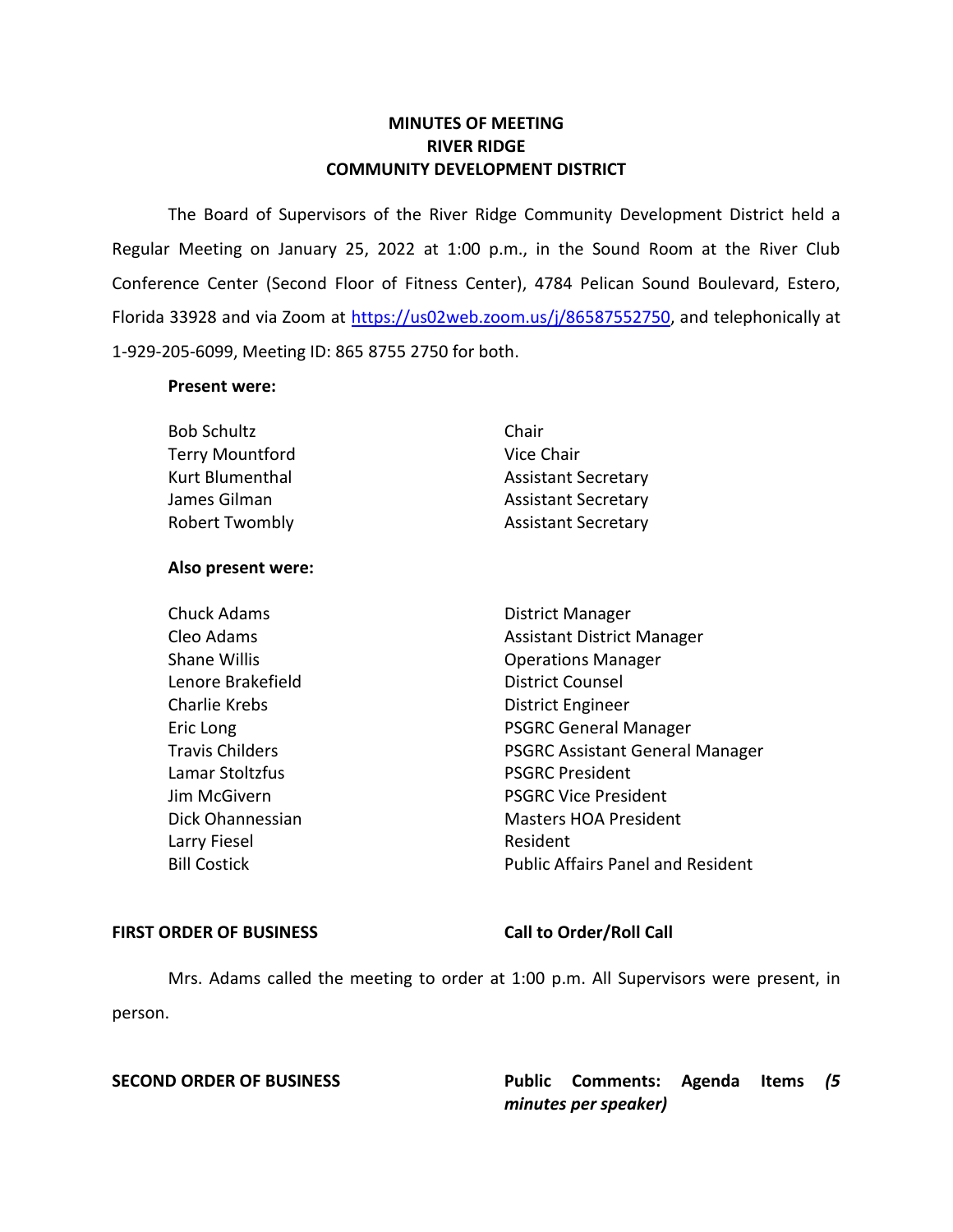## **MINUTES OF MEETING RIVER RIDGE COMMUNITY DEVELOPMENT DISTRICT**

 The Board of Supervisors of the River Ridge Community Development District held a Regular Meeting on January 25, 2022 at 1:00 p.m., in the Sound Room at the River Club Conference Center (Second Floor of Fitness Center), 4784 Pelican Sound Boulevard, Estero, Florida 33928 and via Zoom at [https://us02web.zoom.us/j/86587552750,](https://us02web.zoom.us/j/86587552750) and telephonically at 1-929-205-6099, Meeting ID: 865 8755 2750 for both.

### **Present were:**

| <b>Bob Schultz</b>     | Chair                      |
|------------------------|----------------------------|
| <b>Terry Mountford</b> | Vice Chair                 |
| Kurt Blumenthal        | <b>Assistant Secretary</b> |
| James Gilman           | <b>Assistant Secretary</b> |
| <b>Robert Twombly</b>  | <b>Assistant Secretary</b> |

#### **Also present were:**

Lenore Brakefield **District Counsel** Charlie Krebs **District Engineer** Lamar Stoltzfus **PSGRC President** Larry Fiesel **Resident** 

Travis Childers **PSGRC Assistant General Manager** Chuck Adams **District Manager** Cleo Adams **Assistant District Manager** Assistant District Manager Shane Willis **Shane Willis Conserversity Operations Manager** Eric Long **PSGRC** General Manager **Jim McGivern**  PSGRC Vice President Dick Ohannessian Masters HOA President Bill Costick Public Affairs Panel and Resident

#### FIRST ORDER OF BUSINESS Call to Order/Roll Call

 Mrs. Adams called the meeting to order at 1:00 p.m. All Supervisors were present, in person.

**SECOND ORDER OF BUSINESS Public Comments: Agenda Items** *(5 minutes per speaker)*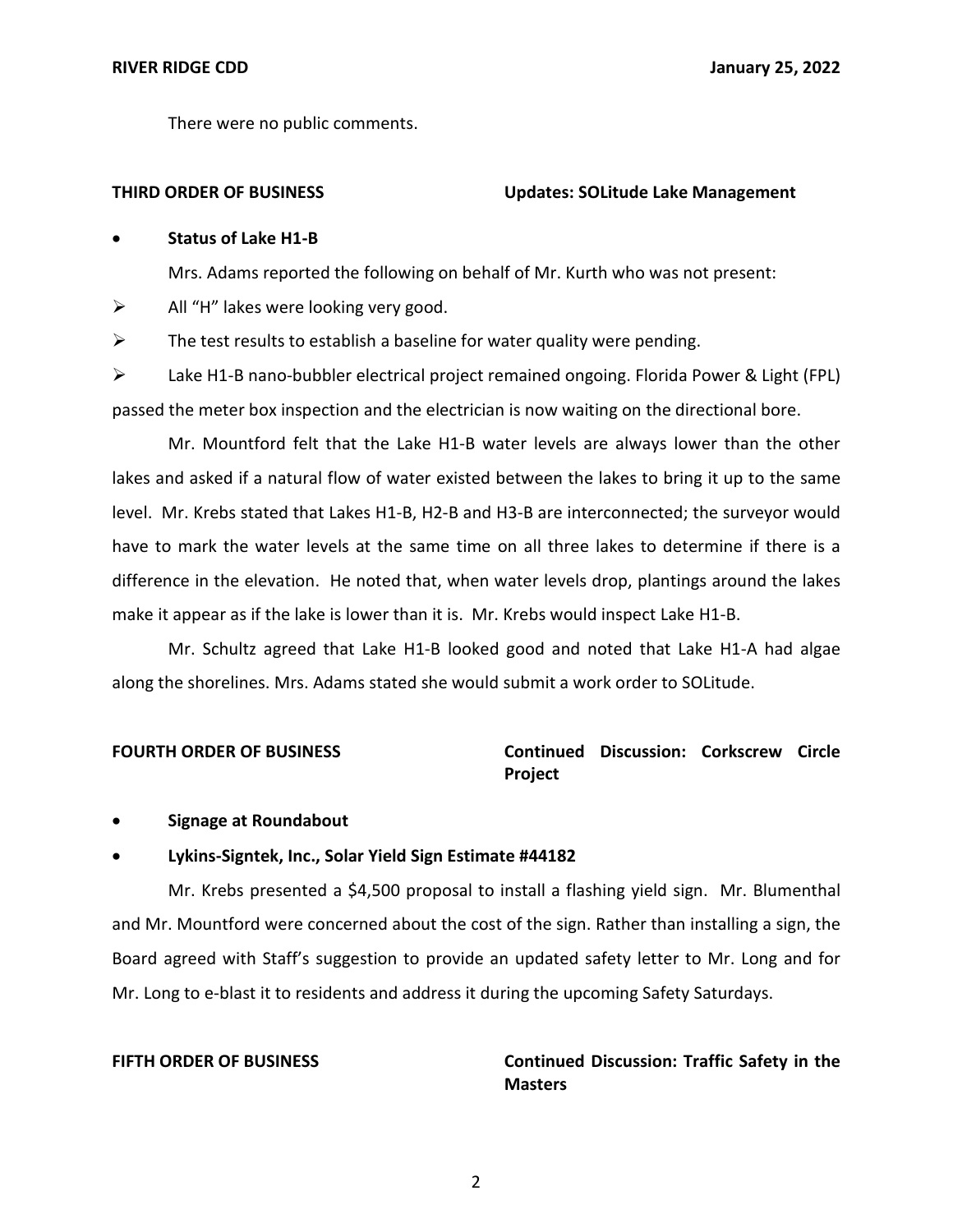There were no public comments.

### **THIRD ORDER OF BUSINESS Updates: SOLitude Lake Management**

## • **Status of Lake H1-B**

Mrs. Adams reported the following on behalf of Mr. Kurth who was not present:

 $\triangleright$  All "H" lakes were looking very good.

 $\triangleright$  The test results to establish a baseline for water quality were pending.

➢ Lake H1-B nano-bubbler electrical project remained ongoing. Florida Power & Light (FPL) passed the meter box inspection and the electrician is now waiting on the directional bore.

Mr. Mountford felt that the Lake H1-B water levels are always lower than the other lakes and asked if a natural flow of water existed between the lakes to bring it up to the same level. Mr. Krebs stated that Lakes H1-B, H2-B and H3-B are interconnected; the surveyor would have to mark the water levels at the same time on all three lakes to determine if there is a difference in the elevation. He noted that, when water levels drop, plantings around the lakes make it appear as if the lake is lower than it is. Mr. Krebs would inspect Lake H1-B.

Mr. Schultz agreed that Lake H1-B looked good and noted that Lake H1-A had algae along the shorelines. Mrs. Adams stated she would submit a work order to SOLitude.

## **FOURTH ORDER OF BUSINESS** Continued Discussion: Corkscrew Circle **Project**

• **Signage at Roundabout** 

## • **Lykins-Signtek, Inc., Solar Yield Sign Estimate #44182**

Mr. Krebs presented a \$4,500 proposal to install a flashing yield sign. Mr. Blumenthal and Mr. Mountford were concerned about the cost of the sign. Rather than installing a sign, the Board agreed with Staff's suggestion to provide an updated safety letter to Mr. Long and for Mr. Long to e-blast it to residents and address it during the upcoming Safety Saturdays.

## **FIFTH ORDER OF BUSINESS**

## **Continued Discussion: Traffic Safety in the Masters**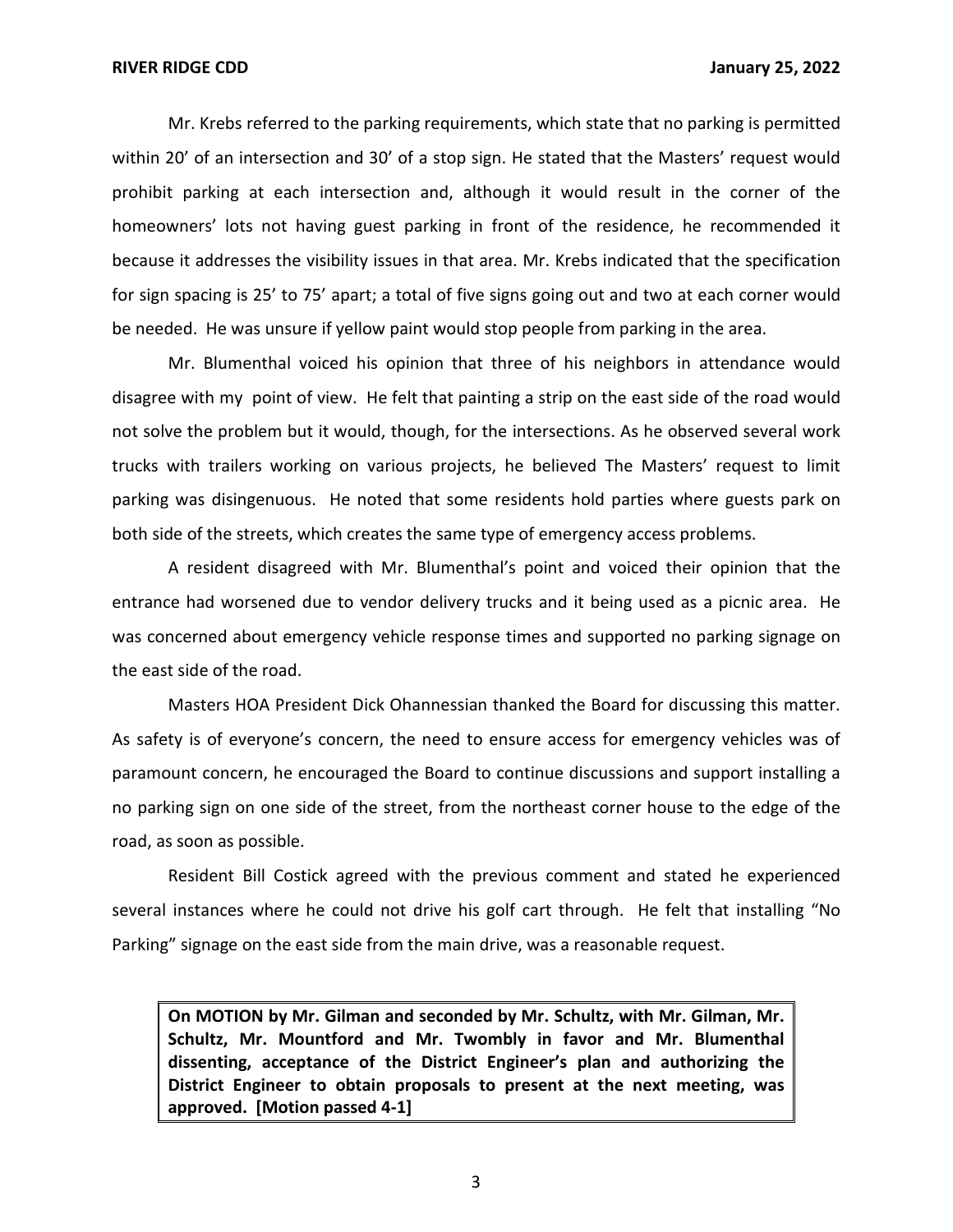Mr. Krebs referred to the parking requirements, which state that no parking is permitted within 20' of an intersection and 30' of a stop sign. He stated that the Masters' request would prohibit parking at each intersection and, although it would result in the corner of the homeowners' lots not having guest parking in front of the residence, he recommended it because it addresses the visibility issues in that area. Mr. Krebs indicated that the specification for sign spacing is 25' to 75' apart; a total of five signs going out and two at each corner would be needed. He was unsure if yellow paint would stop people from parking in the area.

Mr. Blumenthal voiced his opinion that three of his neighbors in attendance would disagree with my point of view. He felt that painting a strip on the east side of the road would not solve the problem but it would, though, for the intersections. As he observed several work trucks with trailers working on various projects, he believed The Masters' request to limit parking was disingenuous. He noted that some residents hold parties where guests park on both side of the streets, which creates the same type of emergency access problems.

A resident disagreed with Mr. Blumenthal's point and voiced their opinion that the entrance had worsened due to vendor delivery trucks and it being used as a picnic area. He was concerned about emergency vehicle response times and supported no parking signage on the east side of the road.

Masters HOA President Dick Ohannessian thanked the Board for discussing this matter. As safety is of everyone's concern, the need to ensure access for emergency vehicles was of paramount concern, he encouraged the Board to continue discussions and support installing a no parking sign on one side of the street, from the northeast corner house to the edge of the road, as soon as possible.

Resident Bill Costick agreed with the previous comment and stated he experienced several instances where he could not drive his golf cart through. He felt that installing "No Parking" signage on the east side from the main drive, was a reasonable request.

 **On MOTION by Mr. Gilman and seconded by Mr. Schultz, with Mr. Gilman, Mr. Schultz, Mr. Mountford and Mr. Twombly in favor and Mr. Blumenthal dissenting, acceptance of the District Engineer's plan and authorizing the District Engineer to obtain proposals to present at the next meeting, was approved. [Motion passed 4-1]** 

3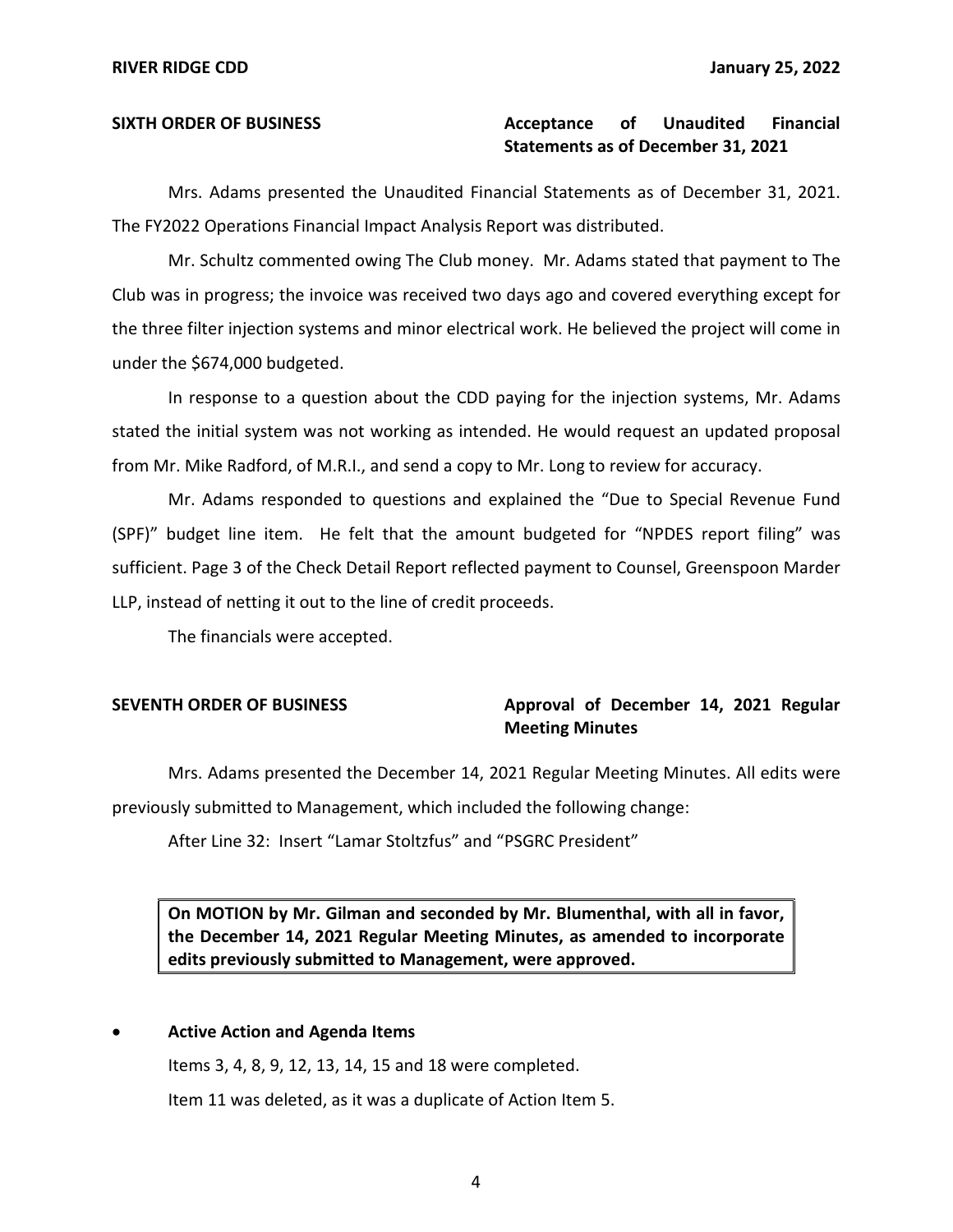#### **Unaudited Statements as of December 31, 2021**  SIXTH ORDER OF BUSINESS **Acceptance** of Unaudited Financial

Mrs. Adams presented the Unaudited Financial Statements as of December 31, 2021. The FY2022 Operations Financial Impact Analysis Report was distributed.

Mr. Schultz commented owing The Club money. Mr. Adams stated that payment to The Club was in progress; the invoice was received two days ago and covered everything except for the three filter injection systems and minor electrical work. He believed the project will come in under the \$674,000 budgeted.

In response to a question about the CDD paying for the injection systems, Mr. Adams stated the initial system was not working as intended. He would request an updated proposal from Mr. Mike Radford, of M.R.I., and send a copy to Mr. Long to review for accuracy.

Mr. Adams responded to questions and explained the "Due to Special Revenue Fund (SPF)" budget line item. He felt that the amount budgeted for "NPDES report filing" was sufficient. Page 3 of the Check Detail Report reflected payment to Counsel, Greenspoon Marder LLP, instead of netting it out to the line of credit proceeds.

The financials were accepted.

### SEVENTH ORDER OF BUSINESS **Approval of December 14, 2021 Regular Meeting Minutes**

Mrs. Adams presented the December 14, 2021 Regular Meeting Minutes. All edits were previously submitted to Management, which included the following change:

After Line 32: Insert "Lamar Stoltzfus" and "PSGRC President"

 **On MOTION by Mr. Gilman and seconded by Mr. Blumenthal, with all in favor, the December 14, 2021 Regular Meeting Minutes, as amended to incorporate edits previously submitted to Management, were approved.** 

#### • **Active Action and Agenda Items**

Items 3, 4, 8, 9, 12, 13, 14, 15 and 18 were completed. Item 11 was deleted, as it was a duplicate of Action Item 5.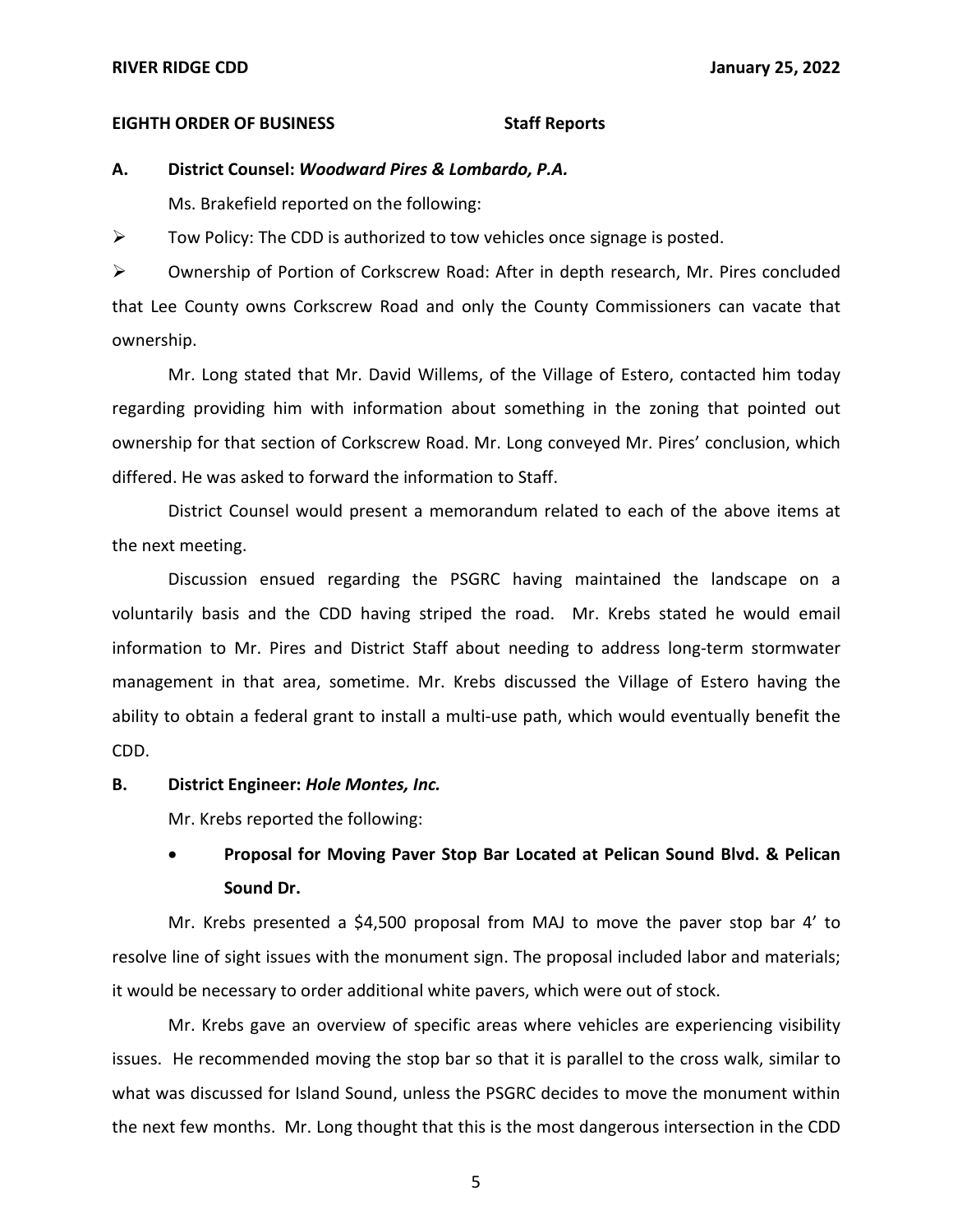#### **RIVER RIDGE CDD January 25, 2022**

#### **EIGHTH ORDER OF BUSINESS Staff Reports**

#### **A. District Counsel:** *Woodward Pires & Lombardo, P.A.*

Ms. Brakefield reported on the following:

 $\triangleright$  Tow Policy: The CDD is authorized to tow vehicles once signage is posted.

➢ Ownership of Portion of Corkscrew Road: After in depth research, Mr. Pires concluded that Lee County owns Corkscrew Road and only the County Commissioners can vacate that ownership.

Mr. Long stated that Mr. David Willems, of the Village of Estero, contacted him today regarding providing him with information about something in the zoning that pointed out ownership for that section of Corkscrew Road. Mr. Long conveyed Mr. Pires' conclusion, which differed. He was asked to forward the information to Staff.

District Counsel would present a memorandum related to each of the above items at the next meeting.

Discussion ensued regarding the PSGRC having maintained the landscape on a voluntarily basis and the CDD having striped the road. Mr. Krebs stated he would email information to Mr. Pires and District Staff about needing to address long-term stormwater management in that area, sometime. Mr. Krebs discussed the Village of Estero having the ability to obtain a federal grant to install a multi-use path, which would eventually benefit the CDD.

#### **B. District Engineer:** *Hole Montes, Inc.*

Mr. Krebs reported the following:

# • **Proposal for Moving Paver Stop Bar Located at Pelican Sound Blvd. & Pelican Sound Dr.**

Mr. Krebs presented a \$4,500 proposal from MAJ to move the paver stop bar 4' to resolve line of sight issues with the monument sign. The proposal included labor and materials; it would be necessary to order additional white pavers, which were out of stock.

Mr. Krebs gave an overview of specific areas where vehicles are experiencing visibility issues. He recommended moving the stop bar so that it is parallel to the cross walk, similar to what was discussed for Island Sound, unless the PSGRC decides to move the monument within the next few months. Mr. Long thought that this is the most dangerous intersection in the CDD

5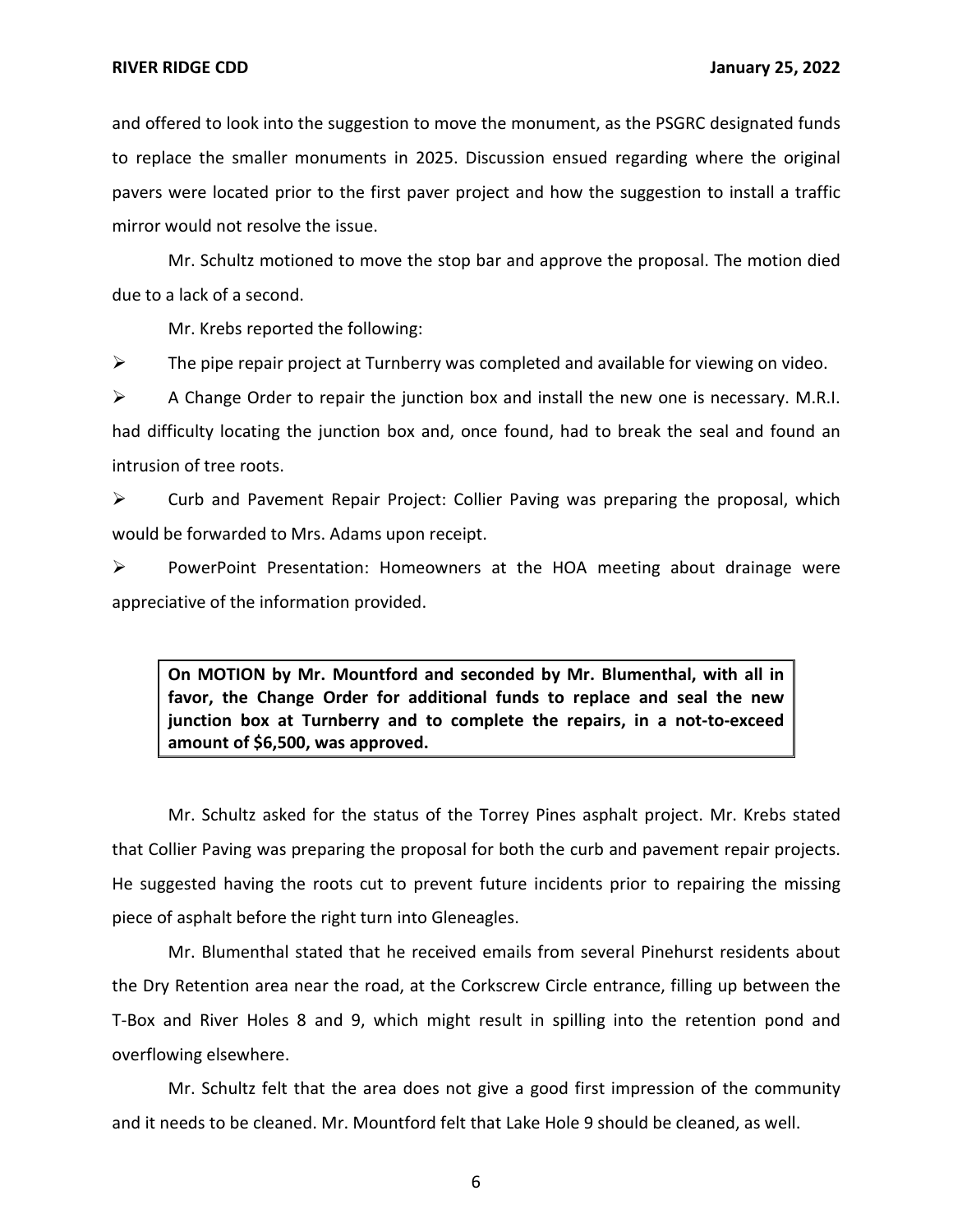and offered to look into the suggestion to move the monument, as the PSGRC designated funds to replace the smaller monuments in 2025. Discussion ensued regarding where the original pavers were located prior to the first paver project and how the suggestion to install a traffic mirror would not resolve the issue.

Mr. Schultz motioned to move the stop bar and approve the proposal. The motion died due to a lack of a second.

Mr. Krebs reported the following:

➢ The pipe repair project at Turnberry was completed and available for viewing on video.

 $\triangleright$  A Change Order to repair the junction box and install the new one is necessary. M.R.I. had difficulty locating the junction box and, once found, had to break the seal and found an intrusion of tree roots.

 $\triangleright$  Curb and Pavement Repair Project: Collier Paving was preparing the proposal, which would be forwarded to Mrs. Adams upon receipt.

➢ PowerPoint Presentation: Homeowners at the HOA meeting about drainage were appreciative of the information provided.

 **On MOTION by Mr. Mountford and seconded by Mr. Blumenthal, with all in favor, the Change Order for additional funds to replace and seal the new junction box at Turnberry and to complete the repairs, in a not-to-exceed amount of \$6,500, was approved.** 

Mr. Schultz asked for the status of the Torrey Pines asphalt project. Mr. Krebs stated that Collier Paving was preparing the proposal for both the curb and pavement repair projects. He suggested having the roots cut to prevent future incidents prior to repairing the missing piece of asphalt before the right turn into Gleneagles.

Mr. Blumenthal stated that he received emails from several Pinehurst residents about the Dry Retention area near the road, at the Corkscrew Circle entrance, filling up between the T-Box and River Holes 8 and 9, which might result in spilling into the retention pond and overflowing elsewhere.

Mr. Schultz felt that the area does not give a good first impression of the community and it needs to be cleaned. Mr. Mountford felt that Lake Hole 9 should be cleaned, as well.

6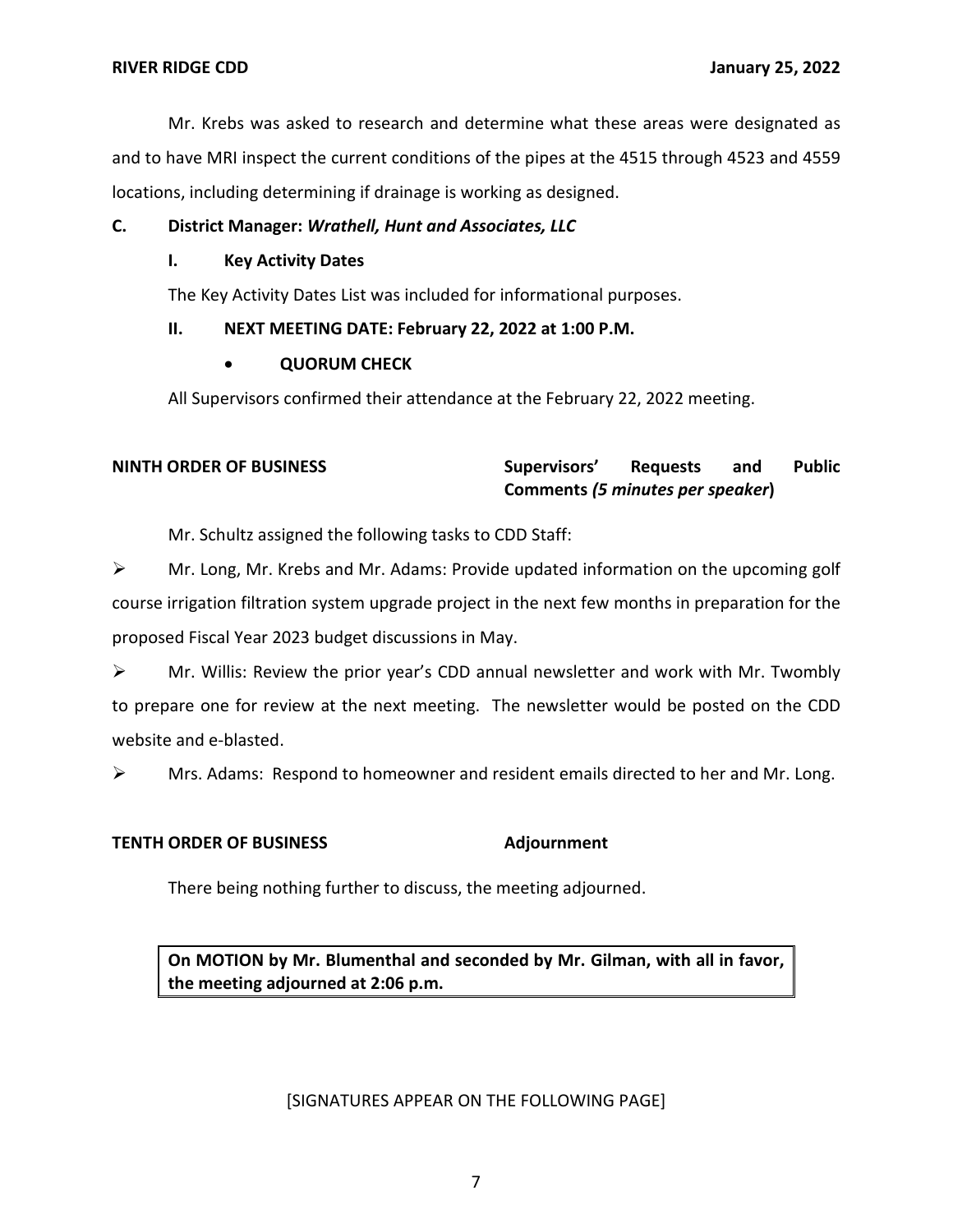Mr. Krebs was asked to research and determine what these areas were designated as and to have MRI inspect the current conditions of the pipes at the 4515 through 4523 and 4559 locations, including determining if drainage is working as designed.

## **C. District Manager:** *Wrathell, Hunt and Associates, LLC*

## **I. Key Activity Dates**

The Key Activity Dates List was included for informational purposes.

## **II. NEXT MEETING DATE: February 22, 2022 at 1:00 P.M.**

## • **QUORUM CHECK**

All Supervisors confirmed their attendance at the February 22, 2022 meeting.

#### and **NINTH ORDER OF BUSINESS Supervisors' Requests and Public Comments** *(5 minutes per speaker***)**

Mr. Schultz assigned the following tasks to CDD Staff:

➢ Mr. Long, Mr. Krebs and Mr. Adams: Provide updated information on the upcoming golf course irrigation filtration system upgrade project in the next few months in preparation for the proposed Fiscal Year 2023 budget discussions in May.

 $\triangleright$  Mr. Willis: Review the prior year's CDD annual newsletter and work with Mr. Twombly to prepare one for review at the next meeting. The newsletter would be posted on the CDD website and e-blasted.

 $\triangleright$  Mrs. Adams: Respond to homeowner and resident emails directed to her and Mr. Long.

## **TENTH ORDER OF BUSINESS Adjournment**

There being nothing further to discuss, the meeting adjourned.

 **On MOTION by Mr. Blumenthal and seconded by Mr. Gilman, with all in favor, the meeting adjourned at 2:06 p.m.** 

## [SIGNATURES APPEAR ON THE FOLLOWING PAGE]